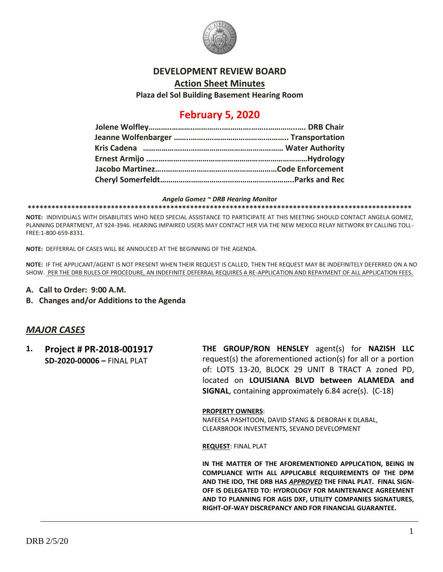

### **DEVELOPMENT REVIEW BOARD**

**Action Sheet Minutes**

**Plaza del Sol Building Basement Hearing Room**

## **February 5, 2020**

#### *Angela Gomez ~ DRB Hearing Monitor*

**\*\*\*\*\*\*\*\*\*\*\*\*\*\*\*\*\*\*\*\*\*\*\*\*\*\*\*\*\*\*\*\*\*\*\*\*\*\*\*\*\*\*\*\*\*\*\*\*\*\*\*\*\*\*\*\*\*\*\*\*\*\*\*\*\*\*\*\*\*\*\*\*\*\*\*\*\*\*\*\*\*\*\*\*\*\*\*\*\*\*\*\*\*\*\*\*\***

**NOTE:** INDIVIDUALS WITH DISABILITIES WHO NEED SPECIAL ASSISTANCE TO PARTICIPATE AT THIS MEETING SHOULD CONTACT ANGELA GOMEZ, PLANNING DEPARTMENT, AT 924-3946. HEARING IMPAIRED USERS MAY CONTACT HER VIA THE NEW MEXICO RELAY NETWORK BY CALLING TOLL-FREE:1-800-659-8331.

**NOTE:** DEFFERRAL OF CASES WILL BE ANNOUCED AT THE BEGINNING OF THE AGENDA.

**NOTE:** IF THE APPLICANT/AGENT IS NOT PRESENT WHEN THEIR REQUEST IS CALLED, THEN THE REQUEST MAY BE INDEFINITELY DEFERRED ON A NO SHOW. PER THE DRB RULES OF PROCEDURE, AN INDEFINITE DEFERRAL REQUIRES A RE-APPLICATION AND REPAYMENT OF ALL APPLICATION FEES.

- **A. Call to Order: 9:00 A.M.**
- **B. Changes and/or Additions to the Agenda**

## *MAJOR CASES*

**1. Project # PR-2018-001917 SD-2020-00006 –** FINAL PLAT

**THE GROUP/RON HENSLEY** agent(s) for **NAZISH LLC** request(s) the aforementioned action(s) for all or a portion of: LOTS 13-20, BLOCK 29 UNIT B TRACT A zoned PD, located on **LOUISIANA BLVD between ALAMEDA and SIGNAL**, containing approximately 6.84 acre(s). (C-18)

#### **PROPERTY OWNERS**:

NAFEESA PASHTOON, DAVID STANG & DEBORAH K DLABAL, CLEARBROOK INVESTMENTS, SEVANO DEVELOPMENT

**REQUEST**: FINAL PLAT

**IN THE MATTER OF THE AFOREMENTIONED APPLICATION, BEING IN COMPLIANCE WITH ALL APPLICABLE REQUIREMENTS OF THE DPM AND THE IDO, THE DRB HAS** *APPROVED* **THE FINAL PLAT. FINAL SIGN-OFF IS DELEGATED TO: HYDROLOGY FOR MAINTENANCE AGREEMENT AND TO PLANNING FOR AGIS DXF, UTILITY COMPANIES SIGNATURES, RIGHT-OF-WAY DISCREPANCY AND FOR FINANCIAL GUARANTEE.**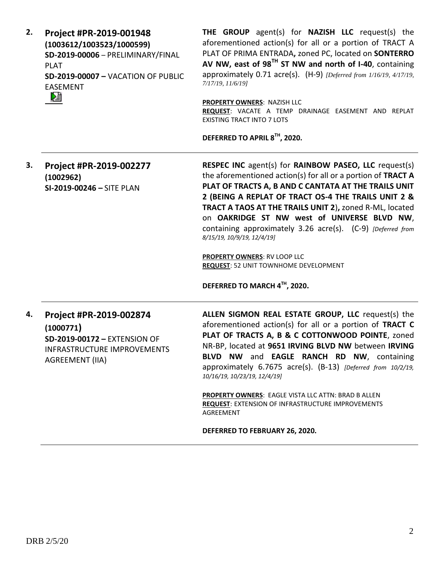| Project #PR-2019-001948                   |
|-------------------------------------------|
| (1003612/1003523/1000599)                 |
| SD-2019-00006 - PRELIMINARY/FINAL         |
| PI AT                                     |
| <b>SD-2019-00007 - VACATION OF PUBLIC</b> |
| EASEMENT                                  |
|                                           |
|                                           |

**THE GROUP** agent(s) for **NAZISH LLC** request(s) the aforementioned action(s) for all or a portion of TRACT A PLAT OF PRIMA ENTRADA**,** zoned PC, located on **SONTERRO AV NW, east of 98TH ST NW and north of I-40**, containing approximately 0.71 acre(s). (H-9) *[Deferred from 1/16/19, 4/17/19, 7/17/19, 11/6/19]*

**PROPERTY OWNERS**: NAZISH LLC **REQUEST**: VACATE A TEMP DRAINAGE EASEMENT AND REPLAT EXISTING TRACT INTO 7 LOTS

**DEFERRED TO APRIL 8TH, 2020.**

**3. Project #PR-2019-002277 (1002962) SI-2019-00246 –** SITE PLAN **RESPEC INC** agent(s) for **RAINBOW PASEO, LLC** request(s) the aforementioned action(s) for all or a portion of **TRACT A PLAT OF TRACTS A, B AND C CANTATA AT THE TRAILS UNIT 2 (BEING A REPLAT OF TRACT OS-4 THE TRAILS UNIT 2 & TRACT A TAOS AT THE TRAILS UNIT 2**)**,** zoned R-ML, located on **OAKRIDGE ST NW west of UNIVERSE BLVD NW**, containing approximately 3.26 acre(s). (C-9) *[Deferred from 8/15/19, 10/9/19, 12/4/19]*

> **PROPERTY OWNERS**: RV LOOP LLC **REQUEST**: 52 UNIT TOWNHOME DEVELOPMENT

**DEFERRED TO MARCH 4TH, 2020.**

## **4. Project #PR-2019-002874 (1000771) SD-2019-00172 –** EXTENSION OF INFRASTRUCTURE IMPROVEMENTS AGREEMENT (IIA)

**ALLEN SIGMON REAL ESTATE GROUP, LLC** request(s) the aforementioned action(s) for all or a portion of **TRACT C PLAT OF TRACTS A, B & C COTTONWOOD POINTE**, zoned NR-BP, located at **9651 IRVING BLVD NW** between **IRVING BLVD NW** and **EAGLE RANCH RD NW**, containing approximately 6.7675 acre(s). (B-13) *[Deferred from 10/2/19, 10/16/19, 10/23/19, 12/4/19]*

**PROPERTY OWNERS**: EAGLE VISTA LLC ATTN: BRAD B ALLEN **REQUEST**: EXTENSION OF INFRASTRUCTURE IMPROVEMENTS AGREEMENT

**DEFERRED TO FEBRUARY 26, 2020.**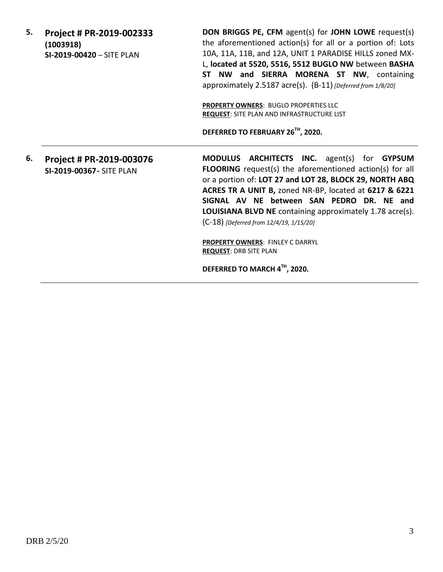| 5. | Project # PR-2019-002333<br>(1003918)<br>SI-2019-00420 - SITE PLAN | <b>DON BRIGGS PE, CFM agent(s) for JOHN LOWE request(s)</b><br>the aforementioned action(s) for all or a portion of: Lots<br>10A, 11A, 11B, and 12A, UNIT 1 PARADISE HILLS zoned MX-<br>L, located at 5520, 5516, 5512 BUGLO NW between BASHA<br>ST NW and SIERRA MORENA ST NW, containing<br>approximately 2.5187 acre(s). (B-11) [Deferred from 1/8/20]<br>PROPERTY OWNERS: BUGLO PROPERTIES LLC<br><b>REQUEST: SITE PLAN AND INFRASTRUCTURE LIST</b><br>DEFERRED TO FEBRUARY 26TH, 2020. |
|----|--------------------------------------------------------------------|---------------------------------------------------------------------------------------------------------------------------------------------------------------------------------------------------------------------------------------------------------------------------------------------------------------------------------------------------------------------------------------------------------------------------------------------------------------------------------------------|
| 6. | Project # PR-2019-003076<br><b>SI-2019-00367 - SITE PLAN</b>       | <b>MODULUS ARCHITECTS INC.</b> agent(s) for <b>GYPSUM</b><br><b>FLOORING</b> request(s) the aforementioned action(s) for all<br>or a portion of: LOT 27 and LOT 28, BLOCK 29, NORTH ABQ<br>ACRES TR A UNIT B, zoned NR-BP, located at 6217 & 6221<br>SIGNAL AV NE between SAN PEDRO DR. NE and<br><b>LOUISIANA BLVD NE</b> containing approximately 1.78 acre(s).<br>(C-18) [Deferred from 12/4/19, 1/15/20]<br>PROPERTY OWNERS: FINLEY C DARRYL<br><b>REQUEST: DRB SITE PLAN</b>           |

**DEFERRED TO MARCH 4TH, 2020.**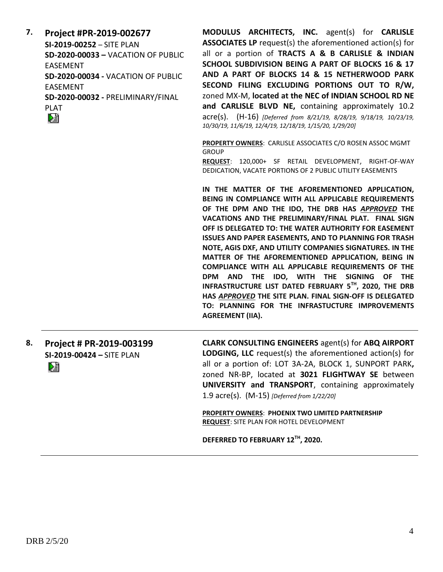| 7. | Project #PR-2019-002677<br>SI-2019-00252 - SITE PLAN<br><b>SD-2020-00033 - VACATION OF PUBLIC</b><br><b>EASEMENT</b><br>SD-2020-00034 - VACATION OF PUBLIC<br><b>EASEMENT</b><br>SD-2020-00032 - PRELIMINARY/FINAL<br><b>PLAT</b><br>巆 | <b>MODULUS ARCHITECTS, INC.</b> agent(s) for <b>CARLISLE</b><br><b>ASSOCIATES LP</b> request(s) the aforementioned action(s) for<br>all or a portion of TRACTS A & B CARLISLE & INDIAN<br>SCHOOL SUBDIVISION BEING A PART OF BLOCKS 16 & 17<br>AND A PART OF BLOCKS 14 & 15 NETHERWOOD PARK<br>SECOND FILING EXCLUDING PORTIONS OUT TO R/W,<br>zoned MX-M, located at the NEC of INDIAN SCHOOL RD NE<br>and CARLISLE BLVD NE, containing approximately 10.2<br>acre(s). (H-16) [Deferred from 8/21/19, 8/28/19, 9/18/19, 10/23/19,<br>10/30/19, 11/6/19, 12/4/19, 12/18/19, 1/15/20, 1/29/20]                                                                                                                                                                |
|----|----------------------------------------------------------------------------------------------------------------------------------------------------------------------------------------------------------------------------------------|--------------------------------------------------------------------------------------------------------------------------------------------------------------------------------------------------------------------------------------------------------------------------------------------------------------------------------------------------------------------------------------------------------------------------------------------------------------------------------------------------------------------------------------------------------------------------------------------------------------------------------------------------------------------------------------------------------------------------------------------------------------|
|    |                                                                                                                                                                                                                                        | PROPERTY OWNERS: CARLISLE ASSOCIATES C/O ROSEN ASSOC MGMT<br><b>GROUP</b><br>REQUEST: 120,000+ SF RETAIL DEVELOPMENT, RIGHT-OF-WAY<br>DEDICATION, VACATE PORTIONS OF 2 PUBLIC UTILITY EASEMENTS                                                                                                                                                                                                                                                                                                                                                                                                                                                                                                                                                              |
|    |                                                                                                                                                                                                                                        | IN THE MATTER OF THE AFOREMENTIONED APPLICATION,<br>BEING IN COMPLIANCE WITH ALL APPLICABLE REQUIREMENTS<br>OF THE DPM AND THE IDO, THE DRB HAS APPROVED THE<br>VACATIONS AND THE PRELIMINARY/FINAL PLAT. FINAL SIGN<br>OFF IS DELEGATED TO: THE WATER AUTHORITY FOR EASEMENT<br>ISSUES AND PAPER EASEMENTS, AND TO PLANNING FOR TRASH<br>NOTE, AGIS DXF, AND UTILITY COMPANIES SIGNATURES. IN THE<br>MATTER OF THE AFOREMENTIONED APPLICATION, BEING IN<br>COMPLIANCE WITH ALL APPLICABLE REQUIREMENTS OF THE<br>DPM AND THE IDO, WITH THE SIGNING OF THE<br>INFRASTRUCTURE LIST DATED FEBRUARY 5TH, 2020, THE DRB<br>HAS APPROVED THE SITE PLAN. FINAL SIGN-OFF IS DELEGATED<br>TO: PLANNING FOR THE INFRASTUCTURE IMPROVEMENTS<br><b>AGREEMENT (IIA).</b> |
| 8. | Project # PR-2019-003199<br>SI-2019-00424 - SITE PLAN<br>妇                                                                                                                                                                             | <b>CLARK CONSULTING ENGINEERS agent(s) for ABQ AIRPORT</b><br>LODGING, LLC request(s) the aforementioned action(s) for<br>all or a portion of: LOT 3A-2A, BLOCK 1, SUNPORT PARK,<br>zoned NR-BP, located at 3021 FLIGHTWAY SE between<br>UNIVERSITY and TRANSPORT, containing approximately<br>1.9 acre(s). (M-15) [Deferred from 1/22/20]                                                                                                                                                                                                                                                                                                                                                                                                                   |
|    |                                                                                                                                                                                                                                        | PROPERTY OWNERS: PHOENIX TWO LIMITED PARTNERSHIP                                                                                                                                                                                                                                                                                                                                                                                                                                                                                                                                                                                                                                                                                                             |

**REQUEST**: SITE PLAN FOR HOTEL DEVELOPMENT

**DEFERRED TO FEBRUARY 12TH, 2020.**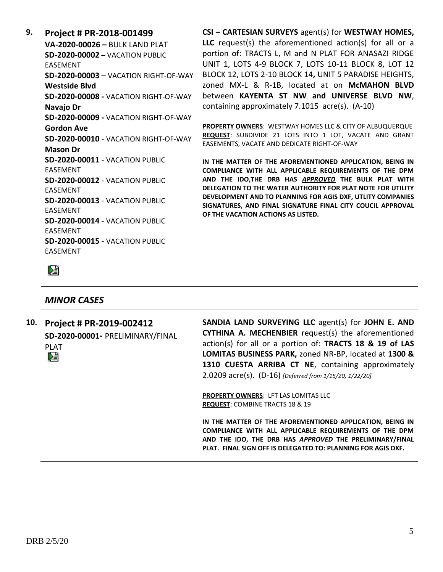**9. Project # PR-2018-001499 VA-2020-00026 –** BULK LAND PLAT **SD-2020-00002 –** VACATION PUBLIC EASEMENT **SD-2020-00003** – VACATION RIGHT-OF-WAY **Westside Blvd SD-2020-00008 -** VACATION RIGHT-OF-WAY **Navajo Dr SD-2020-00009 -** VACATION RIGHT-OF-WAY **Gordon Ave SD-2020-00010** - VACATION RIGHT-OF-WAY **Mason Dr SD-2020-00011** - VACATION PUBLIC EASEMENT **SD-2020-00012** - VACATION PUBLIC EASEMENT **SD-2020-00013** - VACATION PUBLIC EASEMENT **SD-2020-00014** - VACATION PUBLIC EASEMENT **SD-2020-00015** - VACATION PUBLIC EASEMENT

**CSI – CARTESIAN SURVEYS** agent(s) for **WESTWAY HOMES, LLC** request(s) the aforementioned action(s) for all or a portion of: TRACTS L, M and N PLAT FOR ANASAZI RIDGE UNIT 1, LOTS 4-9 BLOCK 7, LOTS 10-11 BLOCK 8, LOT 12 BLOCK 12, LOTS 2-10 BLOCK 14**,** UNIT 5 PARADISE HEIGHTS, zoned MX-L & R-1B, located at on **McMAHON BLVD** between **KAYENTA ST NW and UNIVERSE BLVD NW**, containing approximately 7.1015 acre(s). (A-10)

**PROPERTY OWNERS**: WESTWAY HOMES LLC & CITY OF ALBUQUERQUE **REQUEST**: SUBDIVIDE 21 LOTS INTO 1 LOT, VACATE AND GRANT EASEMENTS, VACATE AND DEDICATE RIGHT-OF-WAY

**IN THE MATTER OF THE AFOREMENTIONED APPLICATION, BEING IN COMPLIANCE WITH ALL APPLICABLE REQUIREMENTS OF THE DPM AND THE IDO,THE DRB HAS** *APPROVED* **THE BULK PLAT WITH DELEGATION TO THE WATER AUTHORITY FOR PLAT NOTE FOR UTILITY DEVELOPMENT AND TO PLANNING FOR AGIS DXF, UTLITY COMPANIES SIGNATURES, AND FINAL SIGNATURE FINAL CITY COUCIL APPROVAL OF THE VACATION ACTIONS AS LISTED.**

陸

## *MINOR CASES*

**10. Project # PR-2019-002412 SD-2020-00001-** PRELIMINARY/FINAL PLAT

**SANDIA LAND SURVEYING LLC** agent(s) for **JOHN E. AND CYTHINA A. MECHENBIER** request(s) the aforementioned action(s) for all or a portion of: **TRACTS 18 & 19 of LAS LOMITAS BUSINESS PARK,** zoned NR-BP, located at **1300 & 1310 CUESTA ARRIBA CT NE**, containing approximately 2.0209 acre(s). (D-16) *[Deferred from 1/15/20, 1/22/20]*

**PROPERTY OWNERS**: LFT LAS LOMITAS LLC **REQUEST**: COMBINE TRACTS 18 & 19

**IN THE MATTER OF THE AFOREMENTIONED APPLICATION, BEING IN COMPLIANCE WITH ALL APPLICABLE REQUIREMENTS OF THE DPM AND THE IDO, THE DRB HAS** *APPROVED* **THE PRELIMINARY/FINAL PLAT. FINAL SIGN OFF IS DELEGATED TO: PLANNING FOR AGIS DXF.**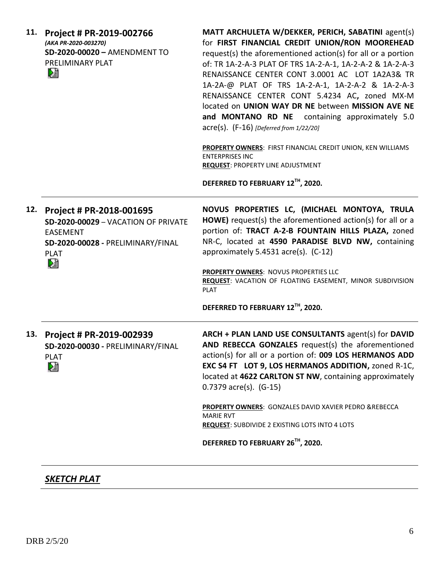| 11. | Project # PR-2019-002766<br>(AKA PR-2020-003270)<br>SD-2020-00020 - AMENDMENT TO<br>PRELIMINARY PLAT<br>N                                   | MATT ARCHULETA W/DEKKER, PERICH, SABATINI agent(s)<br>for FIRST FINANCIAL CREDIT UNION/RON MOOREHEAD<br>request(s) the aforementioned action(s) for all or a portion<br>of: TR 1A-2-A-3 PLAT OF TRS 1A-2-A-1, 1A-2-A-2 & 1A-2-A-3<br>RENAISSANCE CENTER CONT 3.0001 AC LOT 1A2A3& TR<br>1A-2A-@ PLAT OF TRS 1A-2-A-1, 1A-2-A-2 & 1A-2-A-3<br>RENAISSANCE CENTER CONT 5.4234 AC, zoned MX-M<br>located on UNION WAY DR NE between MISSION AVE NE<br>and MONTANO RD NE containing approximately 5.0<br>$\text{acre(s)}$ . (F-16) [Deferred from 1/22/20]<br>PROPERTY OWNERS: FIRST FINANCIAL CREDIT UNION, KEN WILLIAMS<br><b>ENTERPRISES INC</b><br><b>REQUEST: PROPERTY LINE ADJUSTMENT</b><br>DEFERRED TO FEBRUARY 12TH, 2020. |
|-----|---------------------------------------------------------------------------------------------------------------------------------------------|---------------------------------------------------------------------------------------------------------------------------------------------------------------------------------------------------------------------------------------------------------------------------------------------------------------------------------------------------------------------------------------------------------------------------------------------------------------------------------------------------------------------------------------------------------------------------------------------------------------------------------------------------------------------------------------------------------------------------------|
| 12. | Project # PR-2018-001695<br>SD-2020-00029 - VACATION OF PRIVATE<br><b>EASEMENT</b><br>SD-2020-00028 - PRELIMINARY/FINAL<br><b>PLAT</b><br>熠 | NOVUS PROPERTIES LC, (MICHAEL MONTOYA, TRULA<br>HOWE) request(s) the aforementioned action(s) for all or a<br>portion of: TRACT A-2-B FOUNTAIN HILLS PLAZA, zoned<br>NR-C, located at 4590 PARADISE BLVD NW, containing<br>approximately 5.4531 acre(s). (C-12)<br>PROPERTY OWNERS: NOVUS PROPERTIES LLC<br>REQUEST: VACATION OF FLOATING EASEMENT, MINOR SUBDIVISION<br><b>PLAT</b><br>DEFERRED TO FEBRUARY 12TH, 2020.                                                                                                                                                                                                                                                                                                        |
|     | 13. Project # PR-2019-002939<br>SD-2020-00030 - PRELIMINARY/FINAL<br><b>PLAT</b><br>⊠                                                       | ARCH + PLAN LAND USE CONSULTANTS agent(s) for DAVID<br>AND REBECCA GONZALES request(s) the aforementioned<br>action(s) for all or a portion of: 009 LOS HERMANOS ADD<br>EXC S4 FT LOT 9, LOS HERMANOS ADDITION, zoned R-1C,<br>located at 4622 CARLTON ST NW, containing approximately<br>$0.7379$ acre(s). $(G-15)$<br>PROPERTY OWNERS: GONZALES DAVID XAVIER PEDRO &REBECCA<br><b>MARIE RVT</b><br><b>REQUEST:</b> SUBDIVIDE 2 EXISTING LOTS INTO 4 LOTS<br>DEFERRED TO FEBRUARY 26TH, 2020.                                                                                                                                                                                                                                  |
|     |                                                                                                                                             |                                                                                                                                                                                                                                                                                                                                                                                                                                                                                                                                                                                                                                                                                                                                 |

# *SKETCH PLAT*